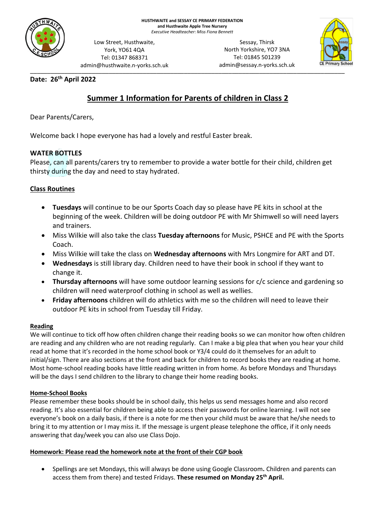

Low Street, Husthwaite, York, YO61 4QA Tel: 01347 868371 admin@husthwaite.n-yorks.sch.uk

\_\_\_\_\_\_\_\_\_\_\_\_\_\_\_\_\_\_\_\_\_\_\_\_\_\_\_\_\_\_\_\_\_\_\_\_\_\_\_\_\_\_\_\_\_\_\_\_\_\_\_\_\_\_\_\_\_\_\_\_\_\_\_\_\_\_\_\_\_\_\_\_\_\_\_\_\_\_\_\_\_\_\_\_\_\_\_\_\_\_\_\_ Sessay, Thirsk North Yorkshire, YO7 3NA Tel: 01845 501239 admin@sessay.n-yorks.sch.uk



# **Date: 26 th April 2022**

# **Summer 1 Information for Parents of children in Class 2**

Dear Parents/Carers,

Welcome back I hope everyone has had a lovely and restful Easter break.

# **WATER BOTTLES**

Please, can all parents/carers try to remember to provide a water bottle for their child, children get thirsty during the day and need to stay hydrated.

# **Class Routines**

- **Tuesdays** will continue to be our Sports Coach day so please have PE kits in school at the beginning of the week. Children will be doing outdoor PE with Mr Shimwell so will need layers and trainers.
- Miss Wilkie will also take the class **Tuesday afternoons** for Music, PSHCE and PE with the Sports Coach.
- Miss Wilkie will take the class on **Wednesday afternoons** with Mrs Longmire for ART and DT.
- **Wednesdays** is still library day. Children need to have their book in school if they want to change it.
- **Thursday afternoons** will have some outdoor learning sessions for c/c science and gardening so children will need waterproof clothing in school as well as wellies.
- **Friday afternoons** children will do athletics with me so the children will need to leave their outdoor PE kits in school from Tuesday till Friday.

#### **Reading**

We will continue to tick off how often children change their reading books so we can monitor how often children are reading and any children who are not reading regularly. Can I make a big plea that when you hear your child read at home that it's recorded in the home school book or Y3/4 could do it themselves for an adult to initial/sign. There are also sections at the front and back for children to record books they are reading at home. Most home-school reading books have little reading written in from home. As before Mondays and Thursdays will be the days I send children to the library to change their home reading books.

# **Home-School Books**

Please remember these books should be in school daily, this helps us send messages home and also record reading. It's also essential for children being able to access their passwords for online learning. I will not see everyone's book on a daily basis, if there is a note for me then your child must be aware that he/she needs to bring it to my attention or I may miss it. If the message is urgent please telephone the office, if it only needs answering that day/week you can also use Class Dojo.

#### **Homework: Please read the homework note at the front of their CGP book**

• Spellings are set Mondays, this will always be done using Google Classroom**.** Children and parents can access them from there) and tested Fridays. **These resumed on Monday 25th April.**